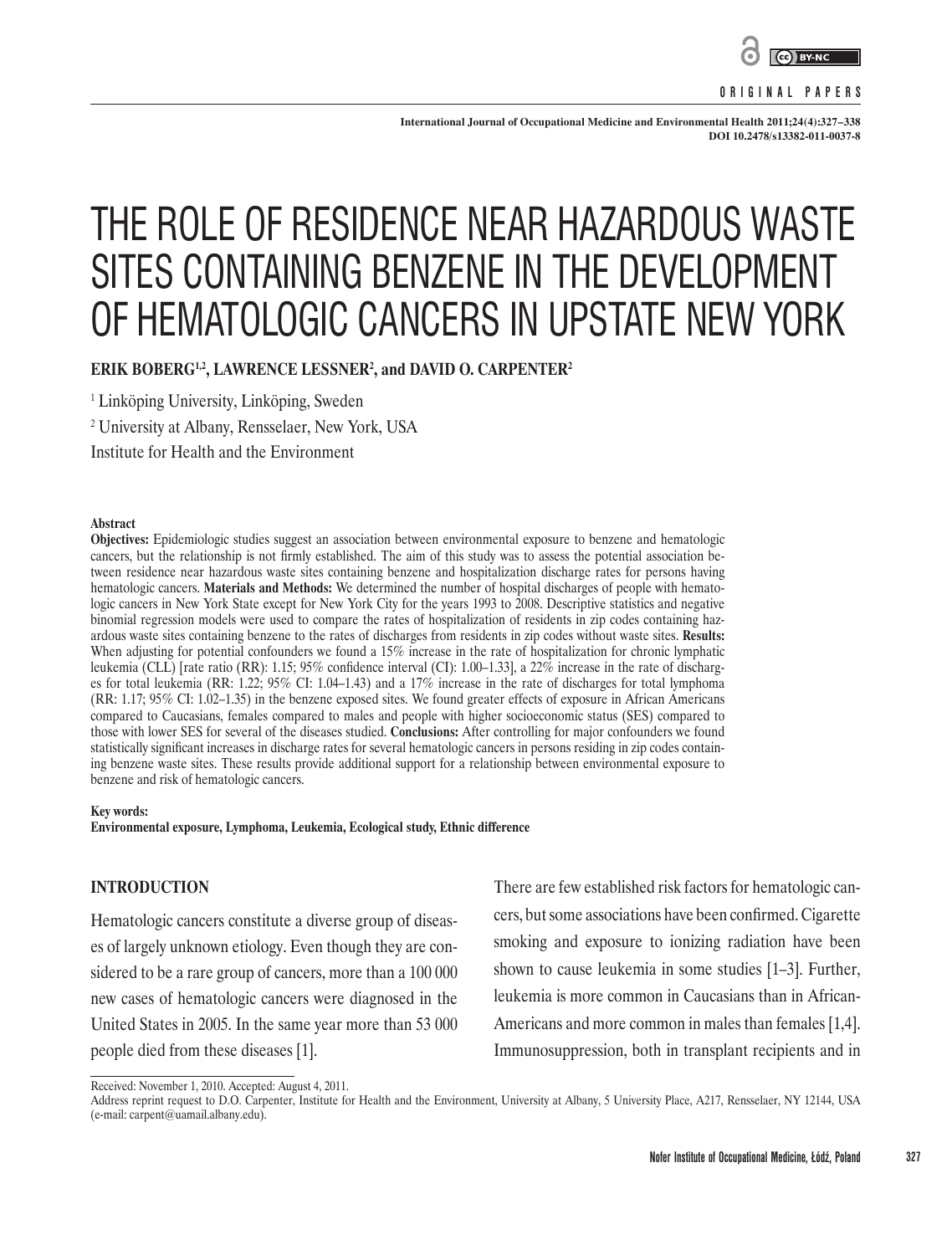

#### **ORIGINAL PAPERS**

**International Journal of Occupational Medicine and Environmental Health 2011;24(4):327–338 DOI 10.2478/s13382-011-0037-8**

# THE ROLE OF RESIDENCE NEAR HAZARDOUS WASTE SITES CONTAINING BENZENE IN THE DEVELOPMENT OF HEMATOLOGIC CANCERS IN UPSTATE NEW YORK

**ERIK BOBERG1,2, LAWRENCE LESSNER2 , and DAVID O. CARPENTER2**

<sup>1</sup> Linköping University, Linköping, Sweden

<sup>2</sup> University at Albany, Rensselaer, New York, USA

Institute for Health and the Environment

#### **Abstract**

**Objectives:** Epidemiologic studies suggest an association between environmental exposure to benzene and hematologic cancers, but the relationship is not firmly established. The aim of this study was to assess the potential association between residence near hazardous waste sites containing benzene and hospitalization discharge rates for persons having hematologic cancers. **Materials and Methods:** We determined the number of hospital discharges of people with hematologic cancers in New York State except for New York City for the years 1993 to 2008. Descriptive statistics and negative binomial regression models were used to compare the rates of hospitalization of residents in zip codes containing hazardous waste sites containing benzene to the rates of discharges from residents in zip codes without waste sites. **Results:**  When adjusting for potential confounders we found a 15% increase in the rate of hospitalization for chronic lymphatic leukemia (CLL) [rate ratio (RR): 1.15; 95% confidence interval (CI): 1.00–1.33], a 22% increase in the rate of discharges for total leukemia (RR: 1.22; 95% CI: 1.04–1.43) and a 17% increase in the rate of discharges for total lymphoma (RR: 1.17; 95% CI: 1.02–1.35) in the benzene exposed sites. We found greater effects of exposure in African Americans compared to Caucasians, females compared to males and people with higher socioeconomic status (SES) compared to those with lower SES for several of the diseases studied. **Conclusions:** After controlling for major confounders we found statistically significant increases in discharge rates for several hematologic cancers in persons residing in zip codes containing benzene waste sites. These results provide additional support for a relationship between environmental exposure to benzene and risk of hematologic cancers.

#### **Key words:**

**Environmental exposure, Lymphoma, Leukemia, Ecological study, Ethnic difference**

# **INTRODUCTION**

Hematologic cancers constitute a diverse group of diseases of largely unknown etiology. Even though they are considered to be a rare group of cancers, more than a 100 000 new cases of hematologic cancers were diagnosed in the United States in 2005. In the same year more than 53 000 people died from these diseases [1].

There are few established risk factors for hematologic cancers, but some associations have been confirmed. Cigarette smoking and exposure to ionizing radiation have been shown to cause leukemia in some studies [1–3]. Further, leukemia is more common in Caucasians than in African-Americans and more common in males than females [1,4]. Immunosuppression, both in transplant recipients and in

Received: November 1, 2010. Accepted: August 4, 2011.

Address reprint request to D.O. Carpenter, Institute for Health and the Environment, University at Albany, 5 University Place, A217, Rensselaer, NY 12144, USA (e-mail: carpent@uamail.albany.edu).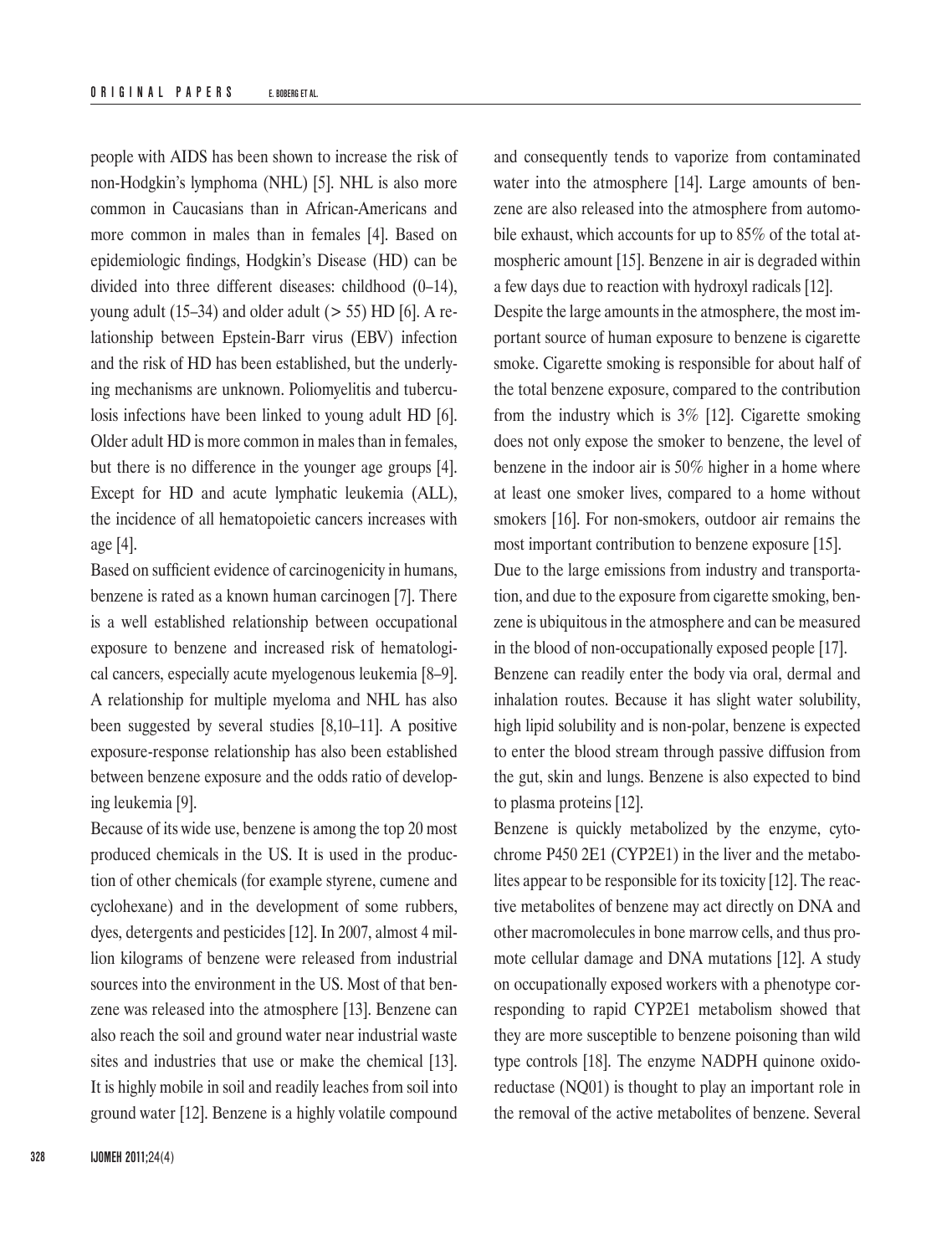people with AIDS has been shown to increase the risk of non-Hodgkin's lymphoma (NHL) [5]. NHL is also more common in Caucasians than in African-Americans and more common in males than in females [4]. Based on epidemiologic findings, Hodgkin's Disease (HD) can be divided into three different diseases: childhood (0–14), young adult (15–34) and older adult ( $>$  55) HD [6]. A relationship between Epstein-Barr virus (EBV) infection and the risk of HD has been established, but the underlying mechanisms are unknown. Poliomyelitis and tuberculosis infections have been linked to young adult HD [6]. Older adult HD is more common in males than in females, but there is no difference in the younger age groups [4]. Except for HD and acute lymphatic leukemia (ALL), the incidence of all hematopoietic cancers increases with age [4].

Based on sufficient evidence of carcinogenicity in humans, benzene is rated as a known human carcinogen [7]. There is a well established relationship between occupational exposure to benzene and increased risk of hematological cancers, especially acute myelogenous leukemia [8–9]. A relationship for multiple myeloma and NHL has also been suggested by several studies [8,10–11]. A positive exposure-response relationship has also been established between benzene exposure and the odds ratio of developing leukemia [9].

Because of its wide use, benzene is among the top 20 most produced chemicals in the US. It is used in the production of other chemicals (for example styrene, cumene and cyclohexane) and in the development of some rubbers, dyes, detergents and pesticides [12]. In 2007, almost 4 million kilograms of benzene were released from industrial sources into the environment in the US. Most of that benzene was released into the atmosphere [13]. Benzene can also reach the soil and ground water near industrial waste sites and industries that use or make the chemical [13]. It is highly mobile in soil and readily leaches from soil into ground water [12]. Benzene is a highly volatile compound and consequently tends to vaporize from contaminated water into the atmosphere [14]. Large amounts of benzene are also released into the atmosphere from automobile exhaust, which accounts for up to 85% of the total atmospheric amount [15]. Benzene in air is degraded within a few days due to reaction with hydroxyl radicals [12]. Despite the large amounts in the atmosphere, the most important source of human exposure to benzene is cigarette smoke. Cigarette smoking is responsible for about half of the total benzene exposure, compared to the contribution from the industry which is 3% [12]. Cigarette smoking does not only expose the smoker to benzene, the level of benzene in the indoor air is 50% higher in a home where at least one smoker lives, compared to a home without smokers [16]. For non-smokers, outdoor air remains the most important contribution to benzene exposure [15].

Due to the large emissions from industry and transportation, and due to the exposure from cigarette smoking, benzene is ubiquitous in the atmosphere and can be measured in the blood of non-occupationally exposed people [17]. Benzene can readily enter the body via oral, dermal and inhalation routes. Because it has slight water solubility, high lipid solubility and is non-polar, benzene is expected to enter the blood stream through passive diffusion from the gut, skin and lungs. Benzene is also expected to bind to plasma proteins [12].

Benzene is quickly metabolized by the enzyme, cytochrome P450 2E1 (CYP2E1) in the liver and the metabolites appear to be responsible for its toxicity [12]. The reactive metabolites of benzene may act directly on DNA and other macromolecules in bone marrow cells, and thus promote cellular damage and DNA mutations [12]. A study on occupationally exposed workers with a phenotype corresponding to rapid CYP2E1 metabolism showed that they are more susceptible to benzene poisoning than wild type controls [18]. The enzyme NADPH quinone oxidoreductase (NQ01) is thought to play an important role in the removal of the active metabolites of benzene. Several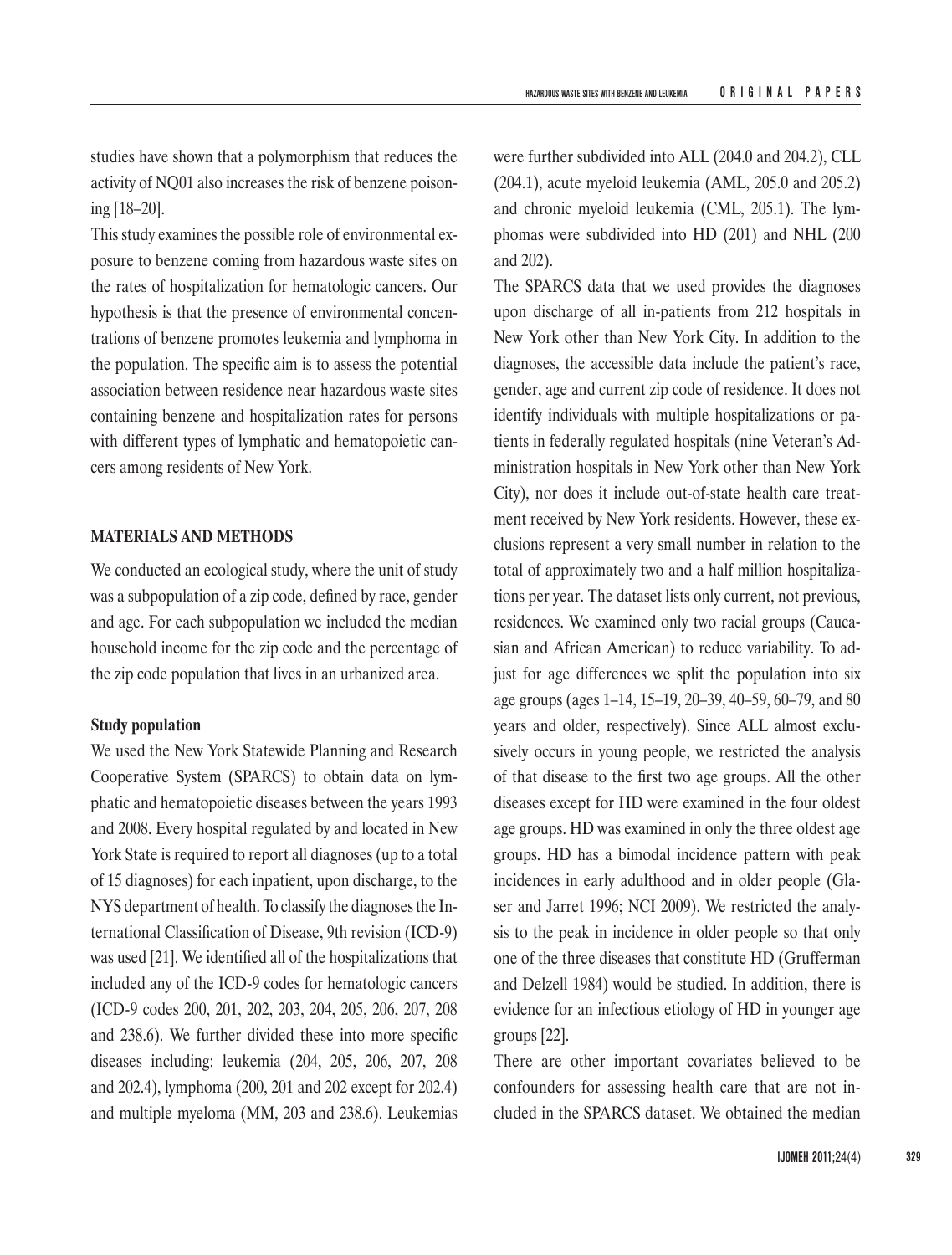studies have shown that a polymorphism that reduces the activity of NQ01 also increases the risk of benzene poisoning [18–20].

This study examines the possible role of environmental exposure to benzene coming from hazardous waste sites on the rates of hospitalization for hematologic cancers. Our hypothesis is that the presence of environmental concentrations of benzene promotes leukemia and lymphoma in the population. The specific aim is to assess the potential association between residence near hazardous waste sites containing benzene and hospitalization rates for persons with different types of lymphatic and hematopoietic cancers among residents of New York.

# **MATERIALS AND METHODS**

We conducted an ecological study, where the unit of study was a subpopulation of a zip code, defined by race, gender and age. For each subpopulation we included the median household income for the zip code and the percentage of the zip code population that lives in an urbanized area.

#### **Study population**

We used the New York Statewide Planning and Research Cooperative System (SPARCS) to obtain data on lymphatic and hematopoietic diseases between the years 1993 and 2008. Every hospital regulated by and located in New York State is required to report all diagnoses (up to a total of 15 diagnoses) for each inpatient, upon discharge, to the NYS department of health. To classify the diagnoses the International Classification of Disease, 9th revision (ICD-9) was used [21]. We identified all of the hospitalizations that included any of the ICD-9 codes for hematologic cancers (ICD-9 codes 200, 201, 202, 203, 204, 205, 206, 207, 208 and 238.6). We further divided these into more specific diseases including: leukemia (204, 205, 206, 207, 208 and 202.4), lymphoma (200, 201 and 202 except for 202.4) and multiple myeloma (MM, 203 and 238.6). Leukemias were further subdivided into ALL (204.0 and 204.2), CLL (204.1), acute myeloid leukemia (AML, 205.0 and 205.2) and chronic myeloid leukemia (CML, 205.1). The lymphomas were subdivided into HD (201) and NHL (200 and 202).

The SPARCS data that we used provides the diagnoses upon discharge of all in-patients from 212 hospitals in New York other than New York City. In addition to the diagnoses, the accessible data include the patient's race, gender, age and current zip code of residence. It does not identify individuals with multiple hospitalizations or patients in federally regulated hospitals (nine Veteran's Administration hospitals in New York other than New York City), nor does it include out-of-state health care treatment received by New York residents. However, these exclusions represent a very small number in relation to the total of approximately two and a half million hospitalizations per year. The dataset lists only current, not previous, residences. We examined only two racial groups (Caucasian and African American) to reduce variability. To adjust for age differences we split the population into six age groups (ages 1–14, 15–19, 20–39, 40–59, 60–79, and 80 years and older, respectively). Since ALL almost exclusively occurs in young people, we restricted the analysis of that disease to the first two age groups. All the other diseases except for HD were examined in the four oldest age groups. HD was examined in only the three oldest age groups. HD has a bimodal incidence pattern with peak incidences in early adulthood and in older people (Glaser and Jarret 1996; NCI 2009). We restricted the analysis to the peak in incidence in older people so that only one of the three diseases that constitute HD (Grufferman and Delzell 1984) would be studied. In addition, there is evidence for an infectious etiology of HD in younger age groups [22].

There are other important covariates believed to be confounders for assessing health care that are not included in the SPARCS dataset. We obtained the median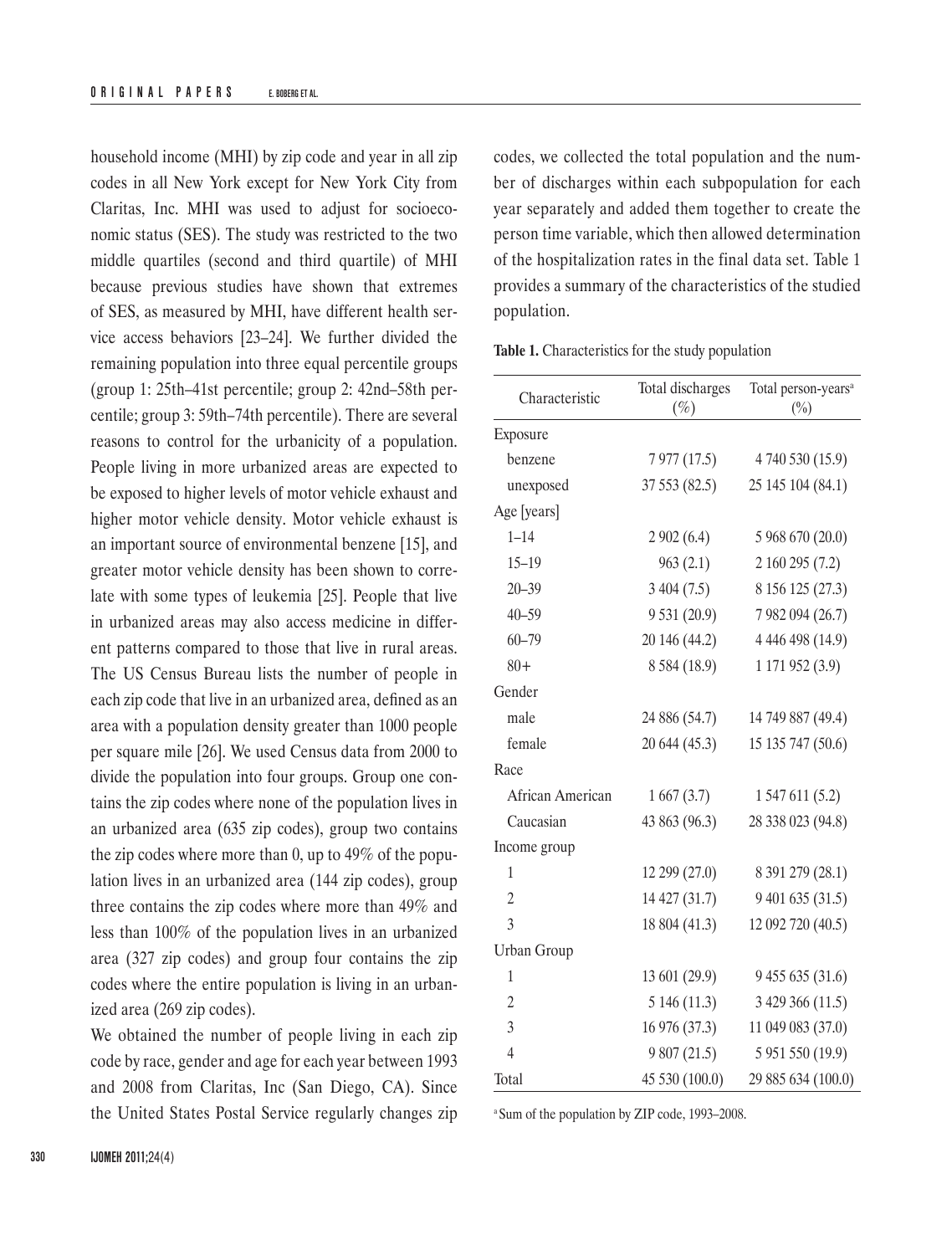household income (MHI) by zip code and year in all zip codes in all New York except for New York City from Claritas, Inc. MHI was used to adjust for socioeconomic status (SES). The study was restricted to the two middle quartiles (second and third quartile) of MHI because previous studies have shown that extremes of SES, as measured by MHI, have different health service access behaviors [23–24]. We further divided the remaining population into three equal percentile groups (group 1: 25th–41st percentile; group 2: 42nd–58th percentile; group 3: 59th–74th percentile). There are several reasons to control for the urbanicity of a population. People living in more urbanized areas are expected to be exposed to higher levels of motor vehicle exhaust and higher motor vehicle density. Motor vehicle exhaust is an important source of environmental benzene [15], and greater motor vehicle density has been shown to correlate with some types of leukemia [25]. People that live in urbanized areas may also access medicine in different patterns compared to those that live in rural areas. The US Census Bureau lists the number of people in each zip code that live in an urbanized area, defined as an area with a population density greater than 1000 people per square mile [26]. We used Census data from 2000 to divide the population into four groups. Group one contains the zip codes where none of the population lives in an urbanized area (635 zip codes), group two contains the zip codes where more than 0, up to 49% of the population lives in an urbanized area (144 zip codes), group three contains the zip codes where more than 49% and less than 100% of the population lives in an urbanized area (327 zip codes) and group four contains the zip codes where the entire population is living in an urbanized area (269 zip codes).

We obtained the number of people living in each zip code by race, gender and age for each year between 1993 and 2008 from Claritas, Inc (San Diego, CA). Since the United States Postal Service regularly changes zip codes, we collected the total population and the number of discharges within each subpopulation for each year separately and added them together to create the person time variable, which then allowed determination of the hospitalization rates in the final data set. Table 1 provides a summary of the characteristics of the studied population.

**Table 1.** Characteristics for the study population

| Characteristic     | Total discharges<br>$(\%)$ | Total person-years <sup>a</sup><br>$(\%)$ |
|--------------------|----------------------------|-------------------------------------------|
| Exposure           |                            |                                           |
| benzene            | 7 977 (17.5)               | 4 740 530 (15.9)                          |
| unexposed          | 37 553 (82.5)              | 25 145 104 (84.1)                         |
| Age [years]        |                            |                                           |
| $1 - 14$           | 2902(6.4)                  | 5 968 670 (20.0)                          |
| $15 - 19$          | 963(2.1)                   | 2 160 295 (7.2)                           |
| $20 - 39$          | 3404(7.5)                  | 8 156 125 (27.3)                          |
| $40 - 59$          | 9531(20.9)                 | 7 982 094 (26.7)                          |
| $60 - 79$          | 20 146 (44.2)              | 4 446 498 (14.9)                          |
| $80 +$             | 8 5 8 4 (18.9)             | 1 171 952 (3.9)                           |
| Gender             |                            |                                           |
| male               | 24 886 (54.7)              | 14 749 887 (49.4)                         |
| female             | 20 644 (45.3)              | 15 135 747 (50.6)                         |
| Race               |                            |                                           |
| African American   | 1667(3.7)                  | 1 547 611 (5.2)                           |
| Caucasian          | 43 863 (96.3)              | 28 338 023 (94.8)                         |
| Income group       |                            |                                           |
| 1                  | 12299(27.0)                | 8 391 279 (28.1)                          |
| $\overline{2}$     | 14 427 (31.7)              | 9 401 635 (31.5)                          |
| 3                  | 18 804 (41.3)              | 12 092 720 (40.5)                         |
| <b>Urban Group</b> |                            |                                           |
| 1                  | 13 601 (29.9)              | 9 455 635 (31.6)                          |
| $\overline{2}$     | 5 146 (11.3)               | 3 429 366 (11.5)                          |
| $\overline{3}$     | 16 976 (37.3)              | 11 049 083 (37.0)                         |
| $\overline{4}$     | 9807(21.5)                 | 5 951 550 (19.9)                          |
| Total              | 45 530 (100.0)             | 29 885 634 (100.0)                        |

<sup>a</sup> Sum of the population by ZIP code, 1993–2008.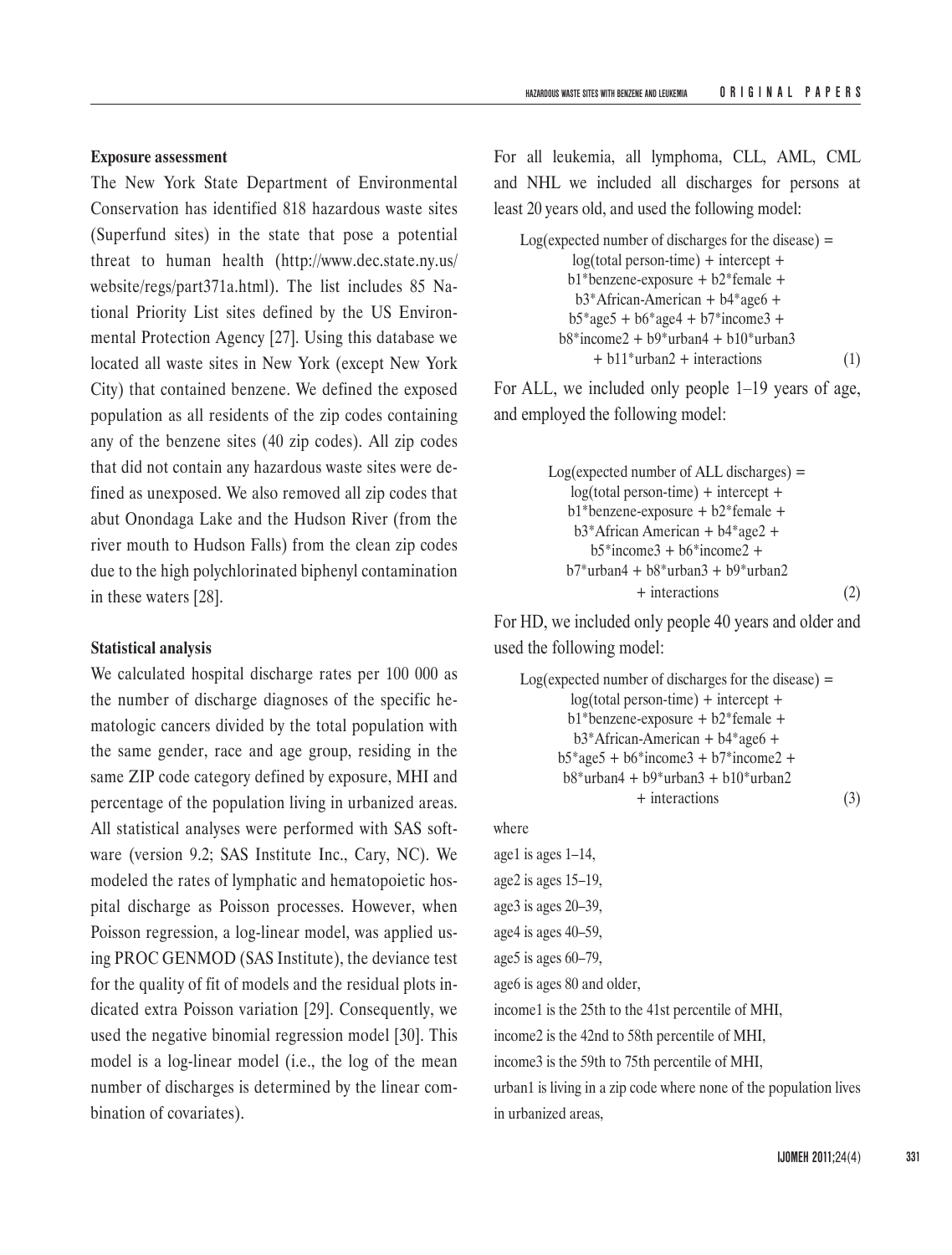# **Exposure assessment**

The New York State Department of Environmental Conservation has identified 818 hazardous waste sites (Superfund sites) in the state that pose a potential threat to human health (http://www.dec.state.ny.us/ website/regs/part371a.html). The list includes 85 National Priority List sites defined by the US Environmental Protection Agency [27]. Using this database we located all waste sites in New York (except New York City) that contained benzene. We defined the exposed population as all residents of the zip codes containing any of the benzene sites (40 zip codes). All zip codes that did not contain any hazardous waste sites were defined as unexposed. We also removed all zip codes that abut Onondaga Lake and the Hudson River (from the river mouth to Hudson Falls) from the clean zip codes due to the high polychlorinated biphenyl contamination in these waters [28].

## **Statistical analysis**

We calculated hospital discharge rates per 100 000 as the number of discharge diagnoses of the specific hematologic cancers divided by the total population with the same gender, race and age group, residing in the same ZIP code category defined by exposure, MHI and percentage of the population living in urbanized areas. All statistical analyses were performed with SAS software (version 9.2; SAS Institute Inc., Cary, NC). We modeled the rates of lymphatic and hematopoietic hospital discharge as Poisson processes. However, when Poisson regression, a log-linear model, was applied using PROC GENMOD (SAS Institute), the deviance test for the quality of fit of models and the residual plots indicated extra Poisson variation [29]. Consequently, we used the negative binomial regression model [30]. This model is a log-linear model (i.e., the log of the mean number of discharges is determined by the linear combination of covariates).

For all leukemia, all lymphoma, CLL, AML, CML and NHL we included all discharges for persons at least 20 years old, and used the following model:

```
Log(expected number of discharges for the disease) =
     log(total person-time) + intercept +b1*benzene-exposure + b2*female +
       b3*African-American + b4*age6 +
     b5*age5 + b6*age4 + b7*income3 +b8*income2 + b9*urban4 + b10*urban3+ b11*urban2 + interactions (1)
```
For ALL, we included only people 1–19 years of age, and employed the following model:

```
Log(expected number of ALL discharges) =
 log(total person-time) + intercept +
b1*benzene-exposure + b2*female +
 b3*African American + b4*age2 +
    b5*income3 + b6*income2 +
b7*urban4 + b8*urban3 + b9*urban2
          + interactions (2)
```
For HD, we included only people 40 years and older and used the following model:

```
Log(expected number of discharges for the disease) =
     log(total person-time) + intercept +
     b1*benzene-exposure + b2*female +
     b3*African-American + b4*age6 +
   b5*age5 + b6*income3 + b7*income2 +b8*urban4 + b9*urban3 + b10*urban2
              + interactions (3)
```
where

age1 is ages 1–14, age2 is ages 15–19, age3 is ages 20–39, age4 is ages 40–59, age5 is ages 60–79, age6 is ages 80 and older, income1 is the 25th to the 41st percentile of MHI, income2 is the 42nd to 58th percentile of MHI, income3 is the 59th to 75th percentile of MHI, urban1 is living in a zip code where none of the population lives in urbanized areas,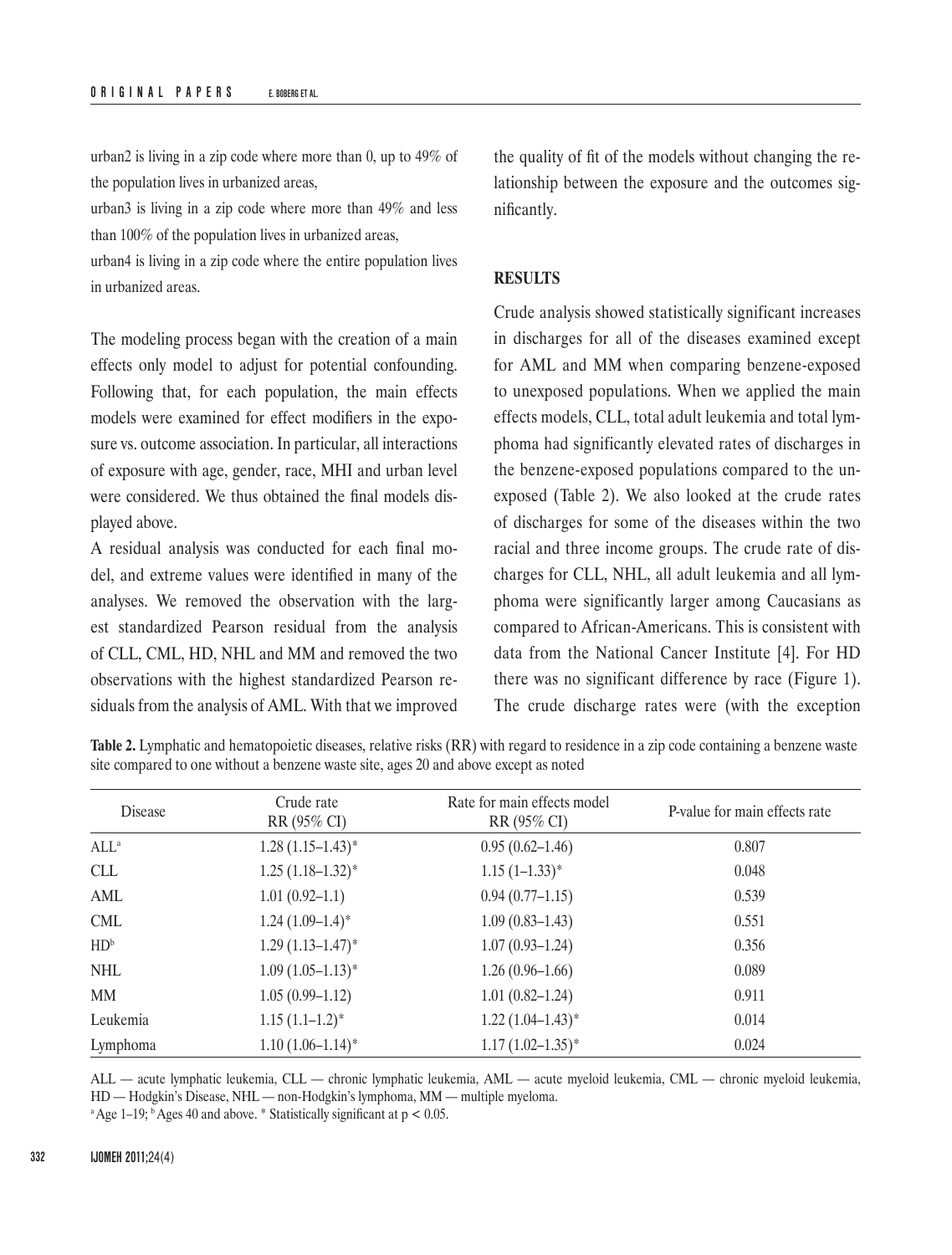urban2 is living in a zip code where more than 0, up to 49% of the population lives in urbanized areas,

urban3 is living in a zip code where more than 49% and less than 100% of the population lives in urbanized areas,

urban4 is living in a zip code where the entire population lives in urbanized areas.

The modeling process began with the creation of a main effects only model to adjust for potential confounding. Following that, for each population, the main effects models were examined for effect modifiers in the exposure vs. outcome association. In particular, all interactions of exposure with age, gender, race, MHI and urban level were considered. We thus obtained the final models displayed above.

A residual analysis was conducted for each final model, and extreme values were identified in many of the analyses. We removed the observation with the largest standardized Pearson residual from the analysis of CLL, CML, HD, NHL and MM and removed the two observations with the highest standardized Pearson residuals from the analysis of AML. With that we improved

the quality of fit of the models without changing the relationship between the exposure and the outcomes significantly.

# **RESULTS**

Crude analysis showed statistically significant increases in discharges for all of the diseases examined except for AML and MM when comparing benzene-exposed to unexposed populations. When we applied the main effects models, CLL, total adult leukemia and total lymphoma had significantly elevated rates of discharges in the benzene-exposed populations compared to the unexposed (Table 2). We also looked at the crude rates of discharges for some of the diseases within the two racial and three income groups. The crude rate of discharges for CLL, NHL, all adult leukemia and all lymphoma were significantly larger among Caucasians as compared to African-Americans. This is consistent with data from the National Cancer Institute [4]. For HD there was no significant difference by race (Figure 1). The crude discharge rates were (with the exception

**Table 2.** Lymphatic and hematopoietic diseases, relative risks (RR) with regard to residence in a zip code containing a benzene waste site compared to one without a benzene waste site, ages 20 and above except as noted

| Disease          | Crude rate<br>RR (95% CI)        | Rate for main effects model<br>RR (95% CI) | P-value for main effects rate |
|------------------|----------------------------------|--------------------------------------------|-------------------------------|
| ALL <sup>a</sup> | $1.28(1.15-1.43)^*$              | $0.95(0.62 - 1.46)$                        | 0.807                         |
| <b>CLL</b>       | $1.25(1.18-1.32)^*$              | $1.15(1-1.33)^*$                           | 0.048                         |
| AML              | $1.01(0.92-1.1)$                 | $0.94(0.77-1.15)$                          | 0.539                         |
| <b>CML</b>       | $1.24$ $(1.09-1.4)$ <sup>*</sup> | $1.09(0.83 - 1.43)$                        | 0.551                         |
| HD <sup>b</sup>  | $1.29(1.13 - 1.47)^*$            | $1.07(0.93 - 1.24)$                        | 0.356                         |
| <b>NHL</b>       | $1.09(1.05-1.13)^*$              | $1.26(0.96-1.66)$                          | 0.089                         |
| MM               | $1.05(0.99-1.12)$                | $1.01(0.82 - 1.24)$                        | 0.911                         |
| Leukemia         | $1.15(1.1-1.2)^*$                | $1.22(1.04-1.43)^*$                        | 0.014                         |
| Lymphoma         | $1.10(1.06-1.14)^*$              | $1.17(1.02 - 1.35)^*$                      | 0.024                         |

ALL — acute lymphatic leukemia, CLL — chronic lymphatic leukemia, AML — acute myeloid leukemia, CML — chronic myeloid leukemia, HD — Hodgkin's Disease, NHL — non-Hodgkin's lymphoma, MM — multiple myeloma.

<sup>a</sup> Age 1–19; <sup>b</sup> Ages 40 and above. \* Statistically significant at  $p < 0.05$ .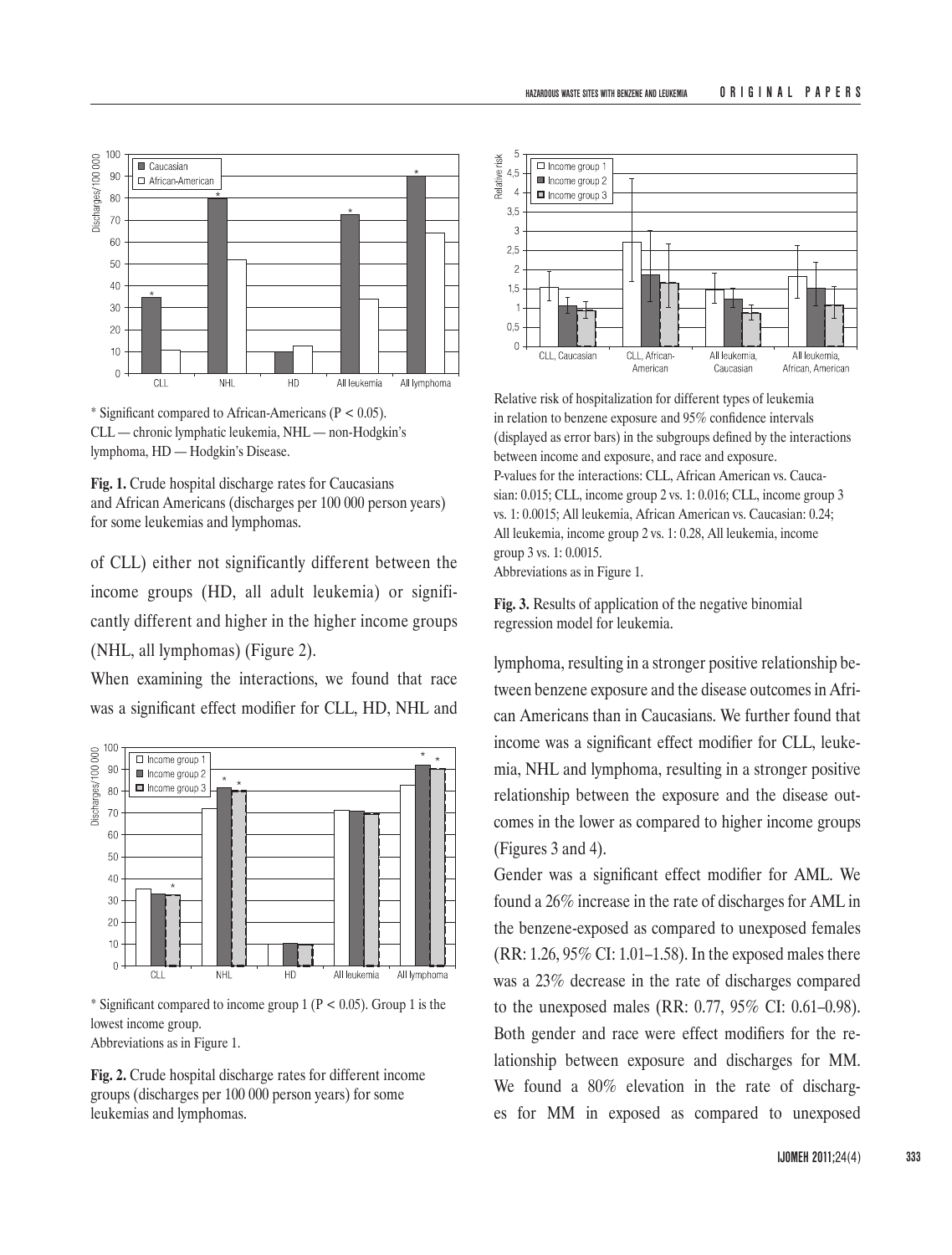

\* Significant compared to African-Americans ( $P < 0.05$ ). CLL — chronic lymphatic leukemia, NHL — non-Hodgkin's lymphoma, HD — Hodgkin's Disease.

**Fig. 1.** Crude hospital discharge rates for Caucasians and African Americans (discharges per 100 000 person years) for some leukemias and lymphomas.

of CLL) either not significantly different between the income groups (HD, all adult leukemia) or significantly different and higher in the higher income groups (NHL, all lymphomas) (Figure 2).

When examining the interactions, we found that race was a significant effect modifier for CLL, HD, NHL and



\* Significant compared to income group 1 ( $P < 0.05$ ). Group 1 is the lowest income group.

Abbreviations as in Figure 1.

**Fig. 2.** Crude hospital discharge rates for different income groups (discharges per 100 000 person years) for some leukemias and lymphomas.



Relative risk of hospitalization for different types of leukemia in relation to benzene exposure and 95% confidence intervals (displayed as error bars) in the subgroups defined by the interactions between income and exposure, and race and exposure. P-values for the interactions: CLL, African American vs. Caucasian: 0.015; CLL, income group 2 vs. 1: 0.016; CLL, income group 3 vs. 1: 0.0015; All leukemia, African American vs. Caucasian: 0.24; All leukemia, income group 2 vs. 1: 0.28, All leukemia, income group 3 vs. 1: 0.0015. Abbreviations as in Figure 1.

**Fig. 3.** Results of application of the negative binomial regression model for leukemia.

lymphoma, resulting in a stronger positive relationship between benzene exposure and the disease outcomes in African Americans than in Caucasians. We further found that income was a significant effect modifier for CLL, leukemia, NHL and lymphoma, resulting in a stronger positive relationship between the exposure and the disease outcomes in the lower as compared to higher income groups (Figures 3 and 4).

Gender was a significant effect modifier for AML. We found a 26% increase in the rate of discharges for AML in the benzene-exposed as compared to unexposed females (RR: 1.26, 95% CI: 1.01–1.58). In the exposed males there was a 23% decrease in the rate of discharges compared to the unexposed males (RR: 0.77, 95% CI: 0.61–0.98). Both gender and race were effect modifiers for the relationship between exposure and discharges for MM. We found a 80% elevation in the rate of discharges for MM in exposed as compared to unexposed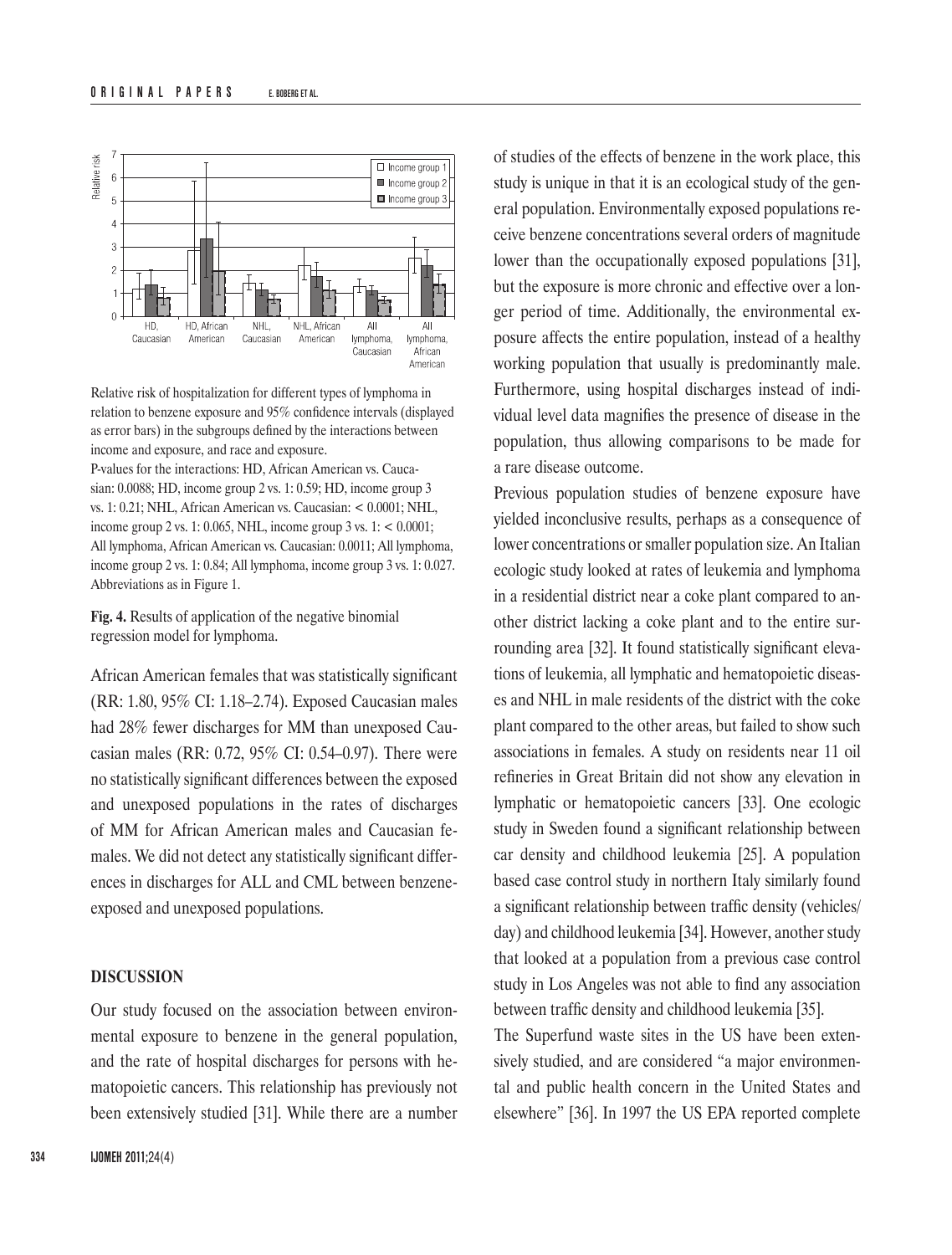

Relative risk of hospitalization for different types of lymphoma in relation to benzene exposure and 95% confidence intervals (displayed as error bars) in the subgroups defined by the interactions between income and exposure, and race and exposure.

P-values for the interactions: HD, African American vs. Caucasian: 0.0088; HD, income group 2 vs. 1: 0.59; HD, income group 3 vs. 1: 0.21; NHL, African American vs. Caucasian: < 0.0001; NHL, income group 2 vs. 1: 0.065, NHL, income group 3 vs. 1: < 0.0001; All lymphoma, African American vs. Caucasian: 0.0011; All lymphoma, income group 2 vs. 1: 0.84; All lymphoma, income group 3 vs. 1: 0.027. Abbreviations as in Figure 1.

**Fig. 4.** Results of application of the negative binomial regression model for lymphoma.

African American females that was statistically significant (RR: 1.80, 95% CI: 1.18–2.74). Exposed Caucasian males had 28% fewer discharges for MM than unexposed Caucasian males (RR: 0.72, 95% CI: 0.54–0.97). There were no statistically significant differences between the exposed and unexposed populations in the rates of discharges of MM for African American males and Caucasian females. We did not detect any statistically significant differences in discharges for ALL and CML between benzeneexposed and unexposed populations.

#### **DISCUSSION**

Our study focused on the association between environmental exposure to benzene in the general population, and the rate of hospital discharges for persons with hematopoietic cancers. This relationship has previously not been extensively studied [31]. While there are a number of studies of the effects of benzene in the work place, this study is unique in that it is an ecological study of the general population. Environmentally exposed populations receive benzene concentrations several orders of magnitude lower than the occupationally exposed populations [31], but the exposure is more chronic and effective over a longer period of time. Additionally, the environmental exposure affects the entire population, instead of a healthy working population that usually is predominantly male. Furthermore, using hospital discharges instead of individual level data magnifies the presence of disease in the population, thus allowing comparisons to be made for a rare disease outcome.

Previous population studies of benzene exposure have yielded inconclusive results, perhaps as a consequence of lower concentrations or smaller population size. An Italian ecologic study looked at rates of leukemia and lymphoma in a residential district near a coke plant compared to another district lacking a coke plant and to the entire surrounding area [32]. It found statistically significant elevations of leukemia, all lymphatic and hematopoietic diseases and NHL in male residents of the district with the coke plant compared to the other areas, but failed to show such associations in females. A study on residents near 11 oil refineries in Great Britain did not show any elevation in lymphatic or hematopoietic cancers [33]. One ecologic study in Sweden found a significant relationship between car density and childhood leukemia [25]. A population based case control study in northern Italy similarly found a significant relationship between traffic density (vehicles/ day) and childhood leukemia [34]. However, another study that looked at a population from a previous case control study in Los Angeles was not able to find any association between traffic density and childhood leukemia [35].

The Superfund waste sites in the US have been extensively studied, and are considered "a major environmental and public health concern in the United States and elsewhere" [36]. In 1997 the US EPA reported complete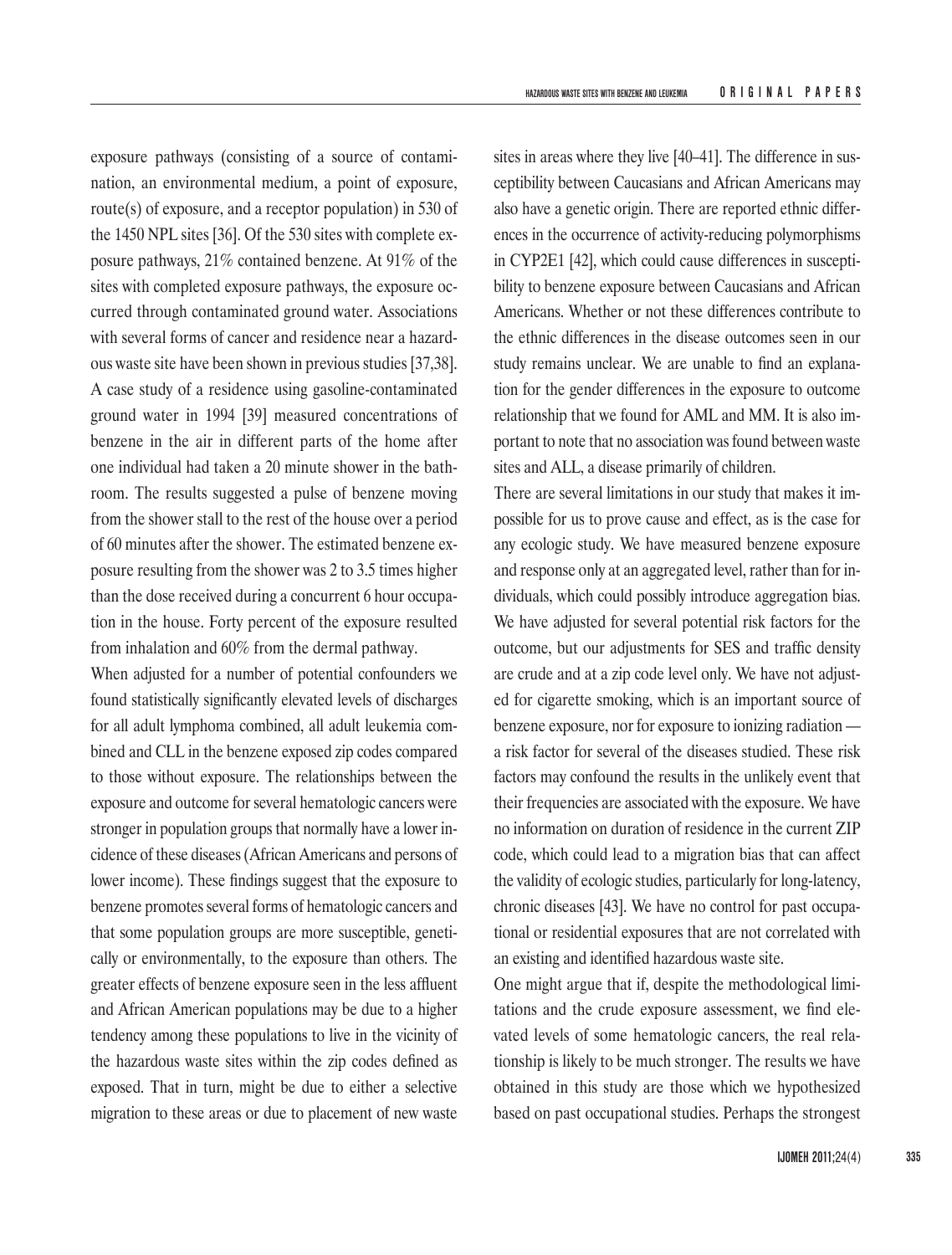exposure pathways (consisting of a source of contamination, an environmental medium, a point of exposure, route(s) of exposure, and a receptor population) in 530 of the 1450 NPL sites [36]. Of the 530 sites with complete exposure pathways, 21% contained benzene. At 91% of the sites with completed exposure pathways, the exposure occurred through contaminated ground water. Associations with several forms of cancer and residence near a hazardous waste site have been shown in previous studies [37,38]. A case study of a residence using gasoline-contaminated ground water in 1994 [39] measured concentrations of benzene in the air in different parts of the home after one individual had taken a 20 minute shower in the bathroom. The results suggested a pulse of benzene moving from the shower stall to the rest of the house over a period of 60 minutes after the shower. The estimated benzene exposure resulting from the shower was 2 to 3.5 times higher than the dose received during a concurrent 6 hour occupation in the house. Forty percent of the exposure resulted from inhalation and 60% from the dermal pathway.

When adjusted for a number of potential confounders we found statistically significantly elevated levels of discharges for all adult lymphoma combined, all adult leukemia combined and CLL in the benzene exposed zip codes compared to those without exposure. The relationships between the exposure and outcome for several hematologic cancers were stronger in population groups that normally have a lower incidence of these diseases (African Americans and persons of lower income). These findings suggest that the exposure to benzene promotes several forms of hematologic cancers and that some population groups are more susceptible, genetically or environmentally, to the exposure than others. The greater effects of benzene exposure seen in the less affluent and African American populations may be due to a higher tendency among these populations to live in the vicinity of the hazardous waste sites within the zip codes defined as exposed. That in turn, might be due to either a selective migration to these areas or due to placement of new waste sites in areas where they live [40–41]. The difference in susceptibility between Caucasians and African Americans may also have a genetic origin. There are reported ethnic differences in the occurrence of activity-reducing polymorphisms in CYP2E1 [42], which could cause differences in susceptibility to benzene exposure between Caucasians and African Americans. Whether or not these differences contribute to the ethnic differences in the disease outcomes seen in our study remains unclear. We are unable to find an explanation for the gender differences in the exposure to outcome relationship that we found for AML and MM. It is also important to note that no association was found between waste sites and ALL, a disease primarily of children.

There are several limitations in our study that makes it impossible for us to prove cause and effect, as is the case for any ecologic study. We have measured benzene exposure and response only at an aggregated level, rather than for individuals, which could possibly introduce aggregation bias. We have adjusted for several potential risk factors for the outcome, but our adjustments for SES and traffic density are crude and at a zip code level only. We have not adjusted for cigarette smoking, which is an important source of benzene exposure, nor for exposure to ionizing radiation a risk factor for several of the diseases studied. These risk factors may confound the results in the unlikely event that their frequencies are associated with the exposure. We have no information on duration of residence in the current ZIP code, which could lead to a migration bias that can affect the validity of ecologic studies, particularly for long-latency, chronic diseases [43]. We have no control for past occupational or residential exposures that are not correlated with an existing and identified hazardous waste site.

One might argue that if, despite the methodological limitations and the crude exposure assessment, we find elevated levels of some hematologic cancers, the real relationship is likely to be much stronger. The results we have obtained in this study are those which we hypothesized based on past occupational studies. Perhaps the strongest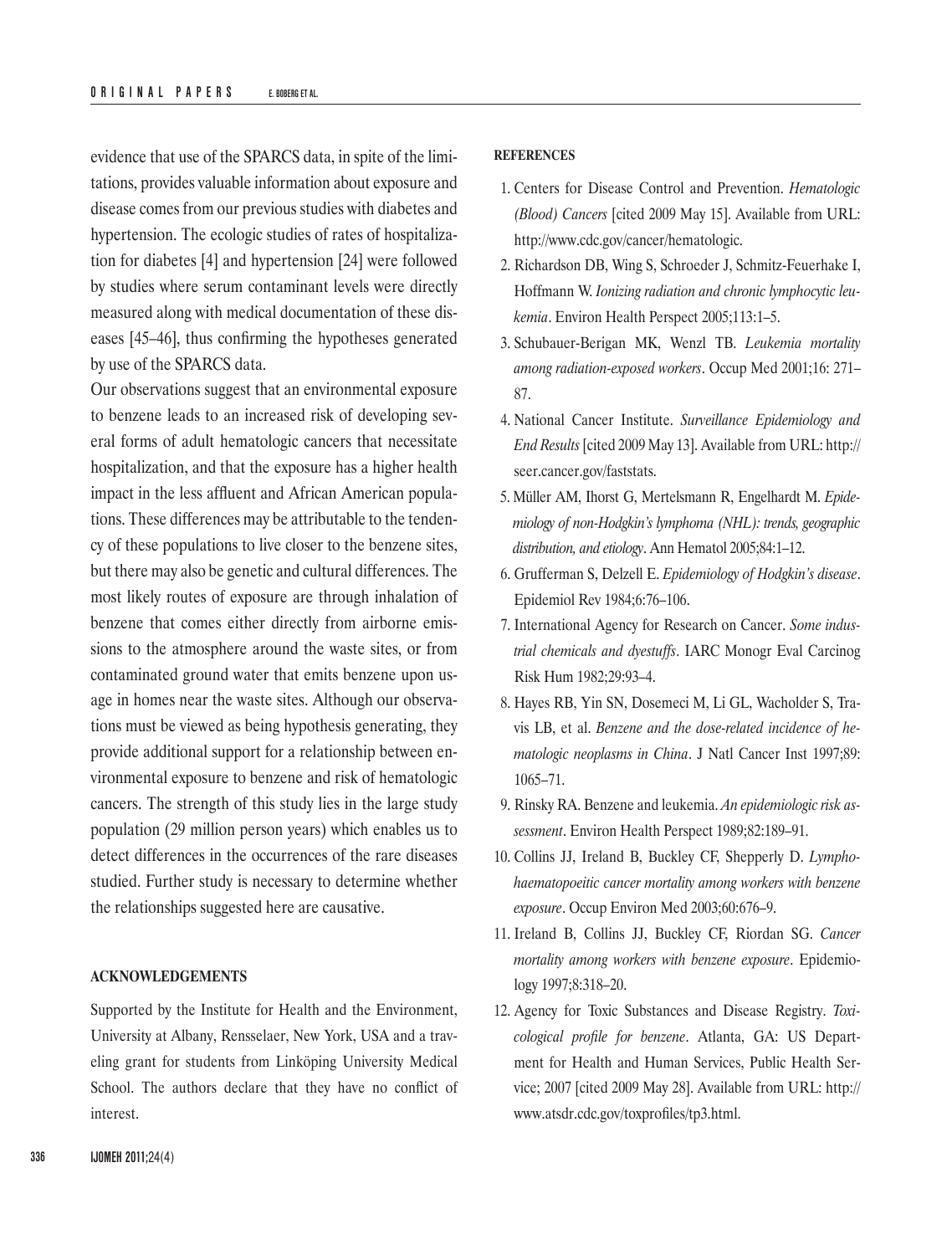evidence that use of the SPARCS data, in spite of the limitations, provides valuable information about exposure and disease comes from our previous studies with diabetes and hypertension. The ecologic studies of rates of hospitalization for diabetes [4] and hypertension [24] were followed by studies where serum contaminant levels were directly measured along with medical documentation of these diseases [45–46], thus confirming the hypotheses generated by use of the SPARCS data.

Our observations suggest that an environmental exposure to benzene leads to an increased risk of developing several forms of adult hematologic cancers that necessitate hospitalization, and that the exposure has a higher health impact in the less affluent and African American populations. These differences may be attributable to the tendency of these populations to live closer to the benzene sites, but there may also be genetic and cultural differences. The most likely routes of exposure are through inhalation of benzene that comes either directly from airborne emissions to the atmosphere around the waste sites, or from contaminated ground water that emits benzene upon usage in homes near the waste sites. Although our observations must be viewed as being hypothesis generating, they provide additional support for a relationship between environmental exposure to benzene and risk of hematologic cancers. The strength of this study lies in the large study population (29 million person years) which enables us to detect differences in the occurrences of the rare diseases studied. Further study is necessary to determine whether the relationships suggested here are causative.

## **ACKNOWLEDGEMENTS**

Supported by the Institute for Health and the Environment, University at Albany, Rensselaer, New York, USA and a traveling grant for students from Linköping University Medical School. The authors declare that they have no conflict of interest.

#### **REFERENCES**

- 1.  Centers for Disease Control and Prevention. *Hematologic (Blood) Cancers* [cited 2009 May 15]. Available from URL: http://www.cdc.gov/cancer/hematologic.
- 2.  Richardson DB, Wing S, Schroeder J, Schmitz-Feuerhake I, Hoffmann W. *Ionizing radiation and chronic lymphocytic leukemia*. Environ Health Perspect 2005;113:1–5.
- 3.  Schubauer-Berigan MK, Wenzl TB. *Leukemia mortality among radiation-exposed workers*. Occup Med 2001;16: 271– 87.
- 4.  National Cancer Institute. *Surveillance Epidemiology and End Results* [cited 2009 May 13]. Available from URL: http:// seer.cancer.gov/faststats.
- 5.  Müller AM, Ihorst G, Mertelsmann R, Engelhardt M. *Epidemiology of non-Hodgkin's lymphoma (NHL): trends, geographic distribution, and etiology*. Ann Hematol 2005;84:1–12.
- 6.  Grufferman S, Delzell E. *Epidemiology of Hodgkin's disease*. Epidemiol Rev 1984;6:76–106.
- 7.  International Agency for Research on Cancer. *Some industrial chemicals and dyestuffs*. IARC Monogr Eval Carcinog Risk Hum 1982;29:93–4.
- 8.  Hayes RB, Yin SN, Dosemeci M, Li GL, Wacholder S, Travis LB, et al. *Benzene and the dose-related incidence of hematologic neoplasms in China*. J Natl Cancer Inst 1997;89: 1065–71.
- 9.  Rinsky RA. Benzene and leukemia. *An epidemiologic risk assessment*. Environ Health Perspect 1989;82:189–91.
- 10.  Collins JJ, Ireland B, Buckley CF, Shepperly D. *Lymphohaematopoeitic cancer mortality among workers with benzene exposure*. Occup Environ Med 2003;60:676–9.
- 11.  Ireland B, Collins JJ, Buckley CF, Riordan SG. *Cancer mortality among workers with benzene exposure*. Epidemiology 1997;8:318–20.
- 12.  Agency for Toxic Substances and Disease Registry. *Toxicological profile for benzene*. Atlanta, GA: US Department for Health and Human Services, Public Health Service; 2007 [cited 2009 May 28]. Available from URL: http:// www.atsdr.cdc.gov/toxprofiles/tp3.html.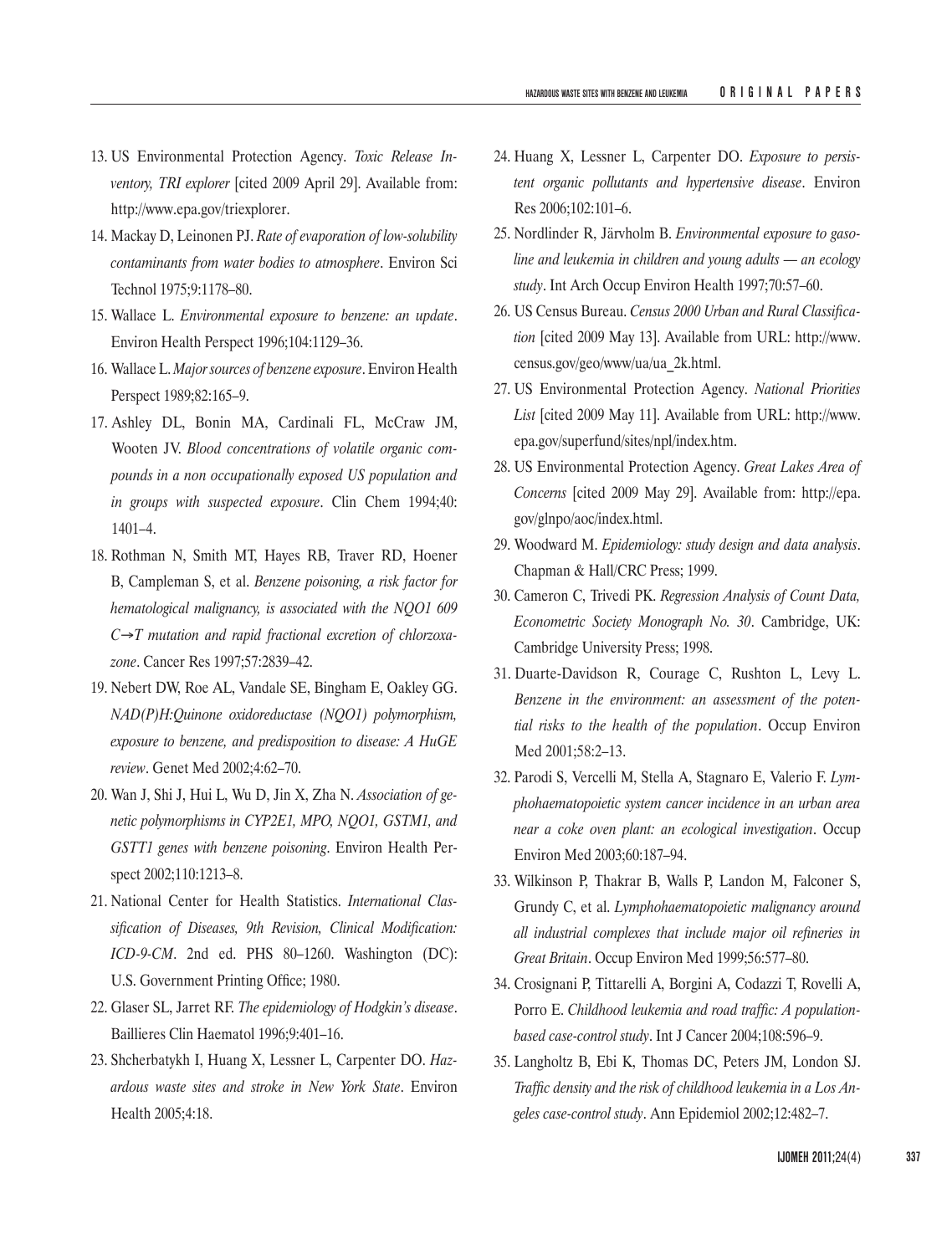- 13.  US Environmental Protection Agency. *Toxic Release Inventory, TRI explorer* [cited 2009 April 29]. Available from: http://www.epa.gov/triexplorer.
- 14.  Mackay D, Leinonen PJ. *Rate of evaporation of low-solubility contaminants from water bodies to atmosphere*. Environ Sci Technol 1975;9:1178–80.
- 15.  Wallace L. *Environmental exposure to benzene: an update*. Environ Health Perspect 1996;104:1129–36.
- 16.  Wallace L. *Major sources of benzene exposure*. Environ Health Perspect 1989;82:165–9.
- 17.  Ashley DL, Bonin MA, Cardinali FL, McCraw JM, Wooten JV. *Blood concentrations of volatile organic compounds in a non occupationally exposed US population and in groups with suspected exposure*. Clin Chem 1994;40: 1401–4.
- 18.  Rothman N, Smith MT, Hayes RB, Traver RD, Hoener B, Campleman S, et al. *Benzene poisoning, a risk factor for hematological malignancy, is associated with the NQO1 609 C→T mutation and rapid fractional excretion of chlorzoxazone*. Cancer Res 1997;57:2839–42.
- 19.  Nebert DW, Roe AL, Vandale SE, Bingham E, Oakley GG. *NAD(P)H:Quinone oxidoreductase (NQO1) polymorphism, exposure to benzene, and predisposition to disease: A HuGE review*. Genet Med 2002;4:62–70.
- 20.  Wan J, Shi J, Hui L, Wu D, Jin X, Zha N. *Association of genetic polymorphisms in CYP2E1, MPO, NQO1, GSTM1, and GSTT1 genes with benzene poisoning*. Environ Health Perspect 2002;110:1213–8.
- 21.  National Center for Health Statistics. *International Classification of Diseases, 9th Revision, Clinical Modification: ICD-9-CM*. 2nd ed. PHS 80–1260. Washington (DC): U.S. Government Printing Office; 1980.
- 22.  Glaser SL, Jarret RF. *The epidemiology of Hodgkin's disease*. Baillieres Clin Haematol 1996;9:401–16.
- 23.  Shcherbatykh I, Huang X, Lessner L, Carpenter DO. *Hazardous waste sites and stroke in New York State*. Environ Health 2005;4:18.
- 24.  Huang X, Lessner L, Carpenter DO. *Exposure to persistent organic pollutants and hypertensive disease*. Environ Res 2006;102:101–6.
- 25.  Nordlinder R, Järvholm B. *Environmental exposure to gasoline and leukemia in children and young adults — an ecology study*. Int Arch Occup Environ Health 1997;70:57–60.
- 26.  US Census Bureau. *Census 2000 Urban and Rural Classification* [cited 2009 May 13]. Available from URL: http://www. census.gov/geo/www/ua/ua\_2k.html.
- 27.  US Environmental Protection Agency. *National Priorities List* [cited 2009 May 11]. Available from URL: http://www. epa.gov/superfund/sites/npl/index.htm.
- 28.  US Environmental Protection Agency. *Great Lakes Area of Concerns* [cited 2009 May 29]. Available from: http://epa. gov/glnpo/aoc/index.html.
- 29.  Woodward M. *Epidemiology: study design and data analysis*. Chapman & Hall/CRC Press; 1999.
- 30.  Cameron C, Trivedi PK. *Regression Analysis of Count Data, Econometric Society Monograph No. 30*. Cambridge, UK: Cambridge University Press; 1998.
- 31.  Duarte-Davidson R, Courage C, Rushton L, Levy L. *Benzene in the environment: an assessment of the potential risks to the health of the population*. Occup Environ Med 2001;58:2–13.
- 32.  Parodi S, Vercelli M, Stella A, Stagnaro E, Valerio F. *Lymphohaematopoietic system cancer incidence in an urban area near a coke oven plant: an ecological investigation*. Occup Environ Med 2003;60:187–94.
- 33.  Wilkinson P, Thakrar B, Walls P, Landon M, Falconer S, Grundy C, et al. *Lymphohaematopoietic malignancy around all industrial complexes that include major oil refineries in Great Britain*. Occup Environ Med 1999;56:577–80.
- 34.  Crosignani P, Tittarelli A, Borgini A, Codazzi T, Rovelli A, Porro E. *Childhood leukemia and road traffic: A populationbased case-control study*. Int J Cancer 2004;108:596–9.
- 35.  Langholtz B, Ebi K, Thomas DC, Peters JM, London SJ. *Traffic density and the risk of childhood leukemia in a Los Angeles case-control study*. Ann Epidemiol 2002;12:482–7.